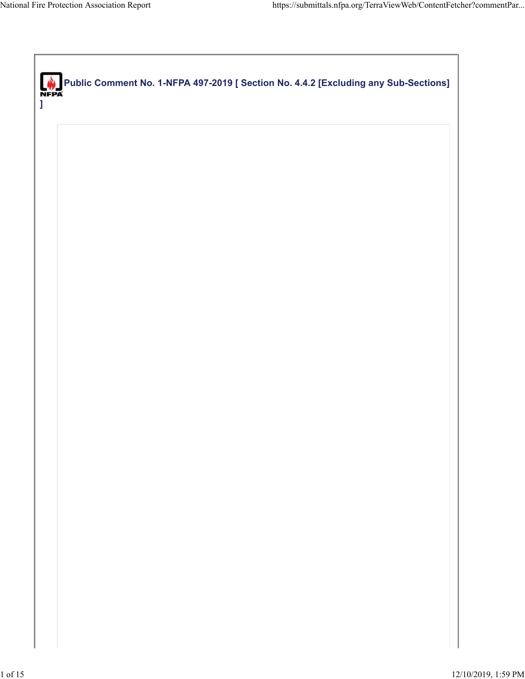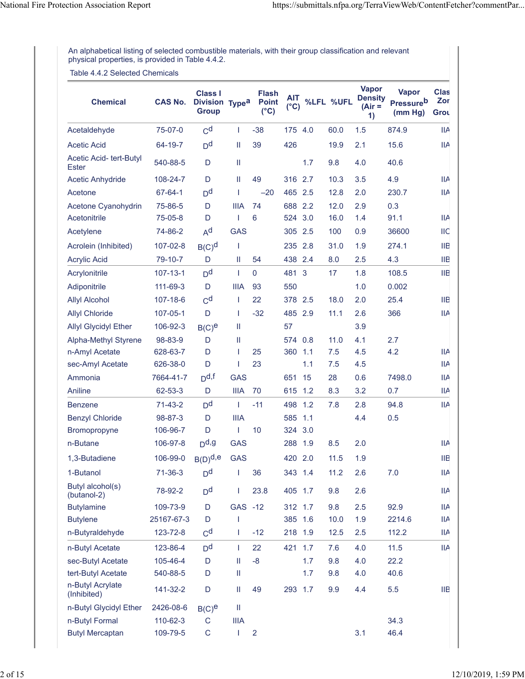An alphabetical listing of selected combustible materials, with their group classification and relevant physical properties, is provided in Table 4.4.2.

Table 4.4.2 Selected Chemicals

| <b>Chemical</b>                  | <b>CAS No.</b> | <b>Class I</b><br>Division Type <sup>a</sup><br><b>Group</b> |             | <b>Flash</b><br><b>Point</b><br>$(^{\circ}C)$ | <b>AIT</b><br>$(^{\circ}C)$ |     | %LFL %UFL | <b>Vapor</b><br><b>Density</b><br>(Air =<br>1) | <b>Vapor</b><br><b>Pressureb</b><br>(mm Hg) | <b>Clas</b><br>Zor<br>Grou |
|----------------------------------|----------------|--------------------------------------------------------------|-------------|-----------------------------------------------|-----------------------------|-----|-----------|------------------------------------------------|---------------------------------------------|----------------------------|
| Acetaldehyde                     | 75-07-0        | C <sup>d</sup>                                               | T           | $-38$                                         | 175 4.0                     |     | 60.0      | 1.5                                            | 874.9                                       | IIA                        |
| <b>Acetic Acid</b>               | 64-19-7        | D <sup>d</sup>                                               | $\rm H$     | 39                                            | 426                         |     | 19.9      | 2.1                                            | 15.6                                        | <b>IIA</b>                 |
| Acetic Acid- tert-Butyl<br>Ester | 540-88-5       | D                                                            | Ш           |                                               |                             | 1.7 | 9.8       | 4.0                                            | 40.6                                        |                            |
| <b>Acetic Anhydride</b>          | 108-24-7       | D                                                            | Ш           | 49                                            | 316 2.7                     |     | 10.3      | 3.5                                            | 4.9                                         | IIA                        |
| Acetone                          | 67-64-1        | D <sup>d</sup>                                               | T           | $-20$                                         | 465 2.5                     |     | 12.8      | 2.0                                            | 230.7                                       | <b>IIA</b>                 |
| Acetone Cyanohydrin              | 75-86-5        | D                                                            | <b>IIIA</b> | 74                                            | 688 2.2                     |     | 12.0      | 2.9                                            | 0.3                                         |                            |
| Acetonitrile                     | 75-05-8        | D                                                            | T           | 6                                             | 524                         | 3.0 | 16.0      | 1.4                                            | 91.1                                        | ШA                         |
| Acetylene                        | 74-86-2        | $A^d$                                                        | <b>GAS</b>  |                                               | 305 2.5                     |     | 100       | 0.9                                            | 36600                                       | ШC                         |
| Acrolein (Inhibited)             | 107-02-8       | $B(C)^d$                                                     | T           |                                               | 235 2.8                     |     | 31.0      | 1.9                                            | 274.1                                       | ШB                         |
| <b>Acrylic Acid</b>              | 79-10-7        | D                                                            | Ш           | 54                                            | 438 2.4                     |     | 8.0       | 2.5                                            | 4.3                                         | ШB                         |
| Acrylonitrile                    | $107 - 13 - 1$ | D <sup>d</sup>                                               | T           | $\mathbf 0$                                   | 481 3                       |     | 17        | 1.8                                            | 108.5                                       | <b>IIB</b>                 |
| Adiponitrile                     | 111-69-3       | D                                                            | <b>IIIA</b> | 93                                            | 550                         |     |           | 1.0                                            | 0.002                                       |                            |
| <b>Allyl Alcohol</b>             | 107-18-6       | $C^d$                                                        | T           | 22                                            | 378 2.5                     |     | 18.0      | 2.0                                            | 25.4                                        | ШB                         |
| <b>Allyl Chloride</b>            | 107-05-1       | D                                                            | T           | $-32$                                         | 485 2.9                     |     | 11.1      | 2.6                                            | 366                                         | <b>IIA</b>                 |
| <b>Allyl Glycidyl Ether</b>      | 106-92-3       | $B(C)$ <sup>e</sup>                                          | Ш           |                                               | 57                          |     |           | 3.9                                            |                                             |                            |
| <b>Alpha-Methyl Styrene</b>      | 98-83-9        | D                                                            | Ш           |                                               | 574 0.8                     |     | 11.0      | 4.1                                            | 2.7                                         |                            |
| n-Amyl Acetate                   | 628-63-7       | D                                                            | T           | 25                                            | 360 1.1                     |     | 7.5       | 4.5                                            | 4.2                                         | IIA                        |
| sec-Amyl Acetate                 | 626-38-0       | D                                                            | I           | 23                                            |                             | 1.1 | 7.5       | 4.5                                            |                                             | IIA                        |
| Ammonia                          | 7664-41-7      | $D$ d,f                                                      | <b>GAS</b>  |                                               | 651                         | 15  | 28        | 0.6                                            | 7498.0                                      | IIA                        |
| Aniline                          | 62-53-3        | D                                                            | <b>IIIA</b> | 70                                            | 615 1.2                     |     | 8.3       | 3.2                                            | 0.7                                         | IIA                        |
| <b>Benzene</b>                   | $71-43-2$      | D <sup>d</sup>                                               | T           | $-11$                                         | 498 1.2                     |     | 7.8       | 2.8                                            | 94.8                                        | <b>IIA</b>                 |
| <b>Benzyl Chloride</b>           | 98-87-3        | D                                                            | <b>IIIA</b> |                                               | 585                         | 1.1 |           | 4.4                                            | 0.5                                         |                            |
| Bromopropyne                     | 106-96-7       | D                                                            | I           | 10                                            | 324                         | 3.0 |           |                                                |                                             |                            |
| n-Butane                         | 106-97-8       | $D$ d,g                                                      | <b>GAS</b>  |                                               | 288                         | 1.9 | 8.5       | 2.0                                            |                                             | ШA                         |
| 1,3-Butadiene                    | 106-99-0       | $B(D)$ <sub>d,e</sub>                                        | <b>GAS</b>  |                                               | 420 2.0                     |     | 11.5      | 1.9                                            |                                             | IIВ                        |
| 1-Butanol                        | $71 - 36 - 3$  | D <sup>d</sup>                                               | T           | 36                                            | 343 1.4                     |     | 11.2      | 2.6                                            | 7.0                                         | <b>IIA</b>                 |
| Butyl alcohol(s)<br>(butanol-2)  | 78-92-2        | D <sup>d</sup>                                               | L           | 23.8                                          | 405 1.7                     |     | 9.8       | 2.6                                            |                                             | IIA                        |
| <b>Butylamine</b>                | 109-73-9       | D                                                            | GAS -12     |                                               | 312 1.7                     |     | 9.8       | 2.5                                            | 92.9                                        | <b>IIA</b>                 |
| <b>Butylene</b>                  | 25167-67-3     | D                                                            | I           |                                               | 385 1.6                     |     | 10.0      | 1.9                                            | 2214.6                                      | <b>IIA</b>                 |
| n-Butyraldehyde                  | 123-72-8       | C <sup>d</sup>                                               | L           | $-12$                                         | 218 1.9                     |     | 12.5      | 2.5                                            | 112.2                                       | <b>IIA</b>                 |
| n-Butyl Acetate                  | 123-86-4       | D <sup>d</sup>                                               | L           | 22                                            | 421 1.7                     |     | 7.6       | 4.0                                            | 11.5                                        | <b>IIA</b>                 |
| sec-Butyl Acetate                | 105-46-4       | D                                                            | Ш           | -8                                            |                             | 1.7 | 9.8       | 4.0                                            | 22.2                                        |                            |
| tert-Butyl Acetate               | 540-88-5       | D                                                            | Ш           |                                               |                             | 1.7 | 9.8       | 4.0                                            | 40.6                                        |                            |
| n-Butyl Acrylate<br>(Inhibited)  | 141-32-2       | D                                                            | Ш           | 49                                            | 293 1.7                     |     | 9.9       | 4.4                                            | 5.5                                         | IIВ                        |
| n-Butyl Glycidyl Ether           | 2426-08-6      | $B(C)$ <sup>e</sup>                                          | Ш           |                                               |                             |     |           |                                                |                                             |                            |
| n-Butyl Formal                   | 110-62-3       | $\mathsf C$                                                  | <b>IIIA</b> |                                               |                             |     |           |                                                | 34.3                                        |                            |
| <b>Butyl Mercaptan</b>           | 109-79-5       | C                                                            | I           | $\overline{2}$                                |                             |     |           | 3.1                                            | 46.4                                        |                            |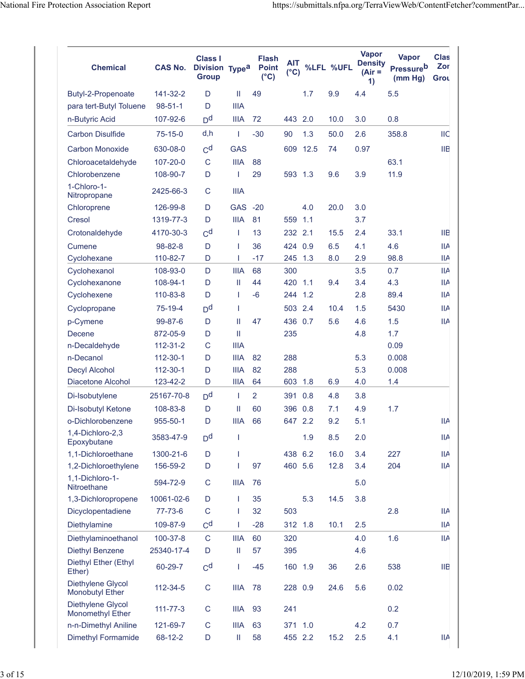| <b>Chemical</b>                              | <b>CAS No.</b> | Class I<br>Division Type <sup>a</sup><br><b>Group</b> |              | <b>Flash</b><br><b>Point</b><br>$(^{\circ}C)$ | AIT<br>$(^{\circ}C)$ |      | %LFL %UFL | <b>Vapor</b><br><b>Density</b><br>$(Air =$<br>1) | <b>Vapor</b><br><b>Pressure</b> b<br>(mm Hg) | <b>Clas</b><br>Zor<br>Grou |
|----------------------------------------------|----------------|-------------------------------------------------------|--------------|-----------------------------------------------|----------------------|------|-----------|--------------------------------------------------|----------------------------------------------|----------------------------|
| Butyl-2-Propenoate                           | 141-32-2       | D                                                     | Ш            | 49                                            |                      | 1.7  | 9.9       | 4.4                                              | 5.5                                          |                            |
| para tert-Butyl Toluene                      | $98 - 51 - 1$  | D                                                     | <b>IIIA</b>  |                                               |                      |      |           |                                                  |                                              |                            |
| n-Butyric Acid                               | 107-92-6       | D <sup>d</sup>                                        | <b>IIIA</b>  | 72                                            | 443                  | 2.0  | 10.0      | 3.0                                              | 0.8                                          |                            |
| <b>Carbon Disulfide</b>                      | $75-15-0$      | d,h                                                   | $\mathbf{I}$ | $-30$                                         | 90                   | 1.3  | 50.0      | 2.6                                              | 358.8                                        | <b>IIC</b>                 |
| <b>Carbon Monoxide</b>                       | 630-08-0       | C <sup>d</sup>                                        | <b>GAS</b>   |                                               | 609                  | 12.5 | 74        | 0.97                                             |                                              | <b>IIB</b>                 |
| Chloroacetaldehyde                           | 107-20-0       | $\mathsf{C}$                                          | <b>IIIA</b>  | 88                                            |                      |      |           |                                                  | 63.1                                         |                            |
| Chlorobenzene                                | 108-90-7       | D                                                     | 1            | 29                                            | 593 1.3              |      | 9.6       | 3.9                                              | 11.9                                         |                            |
| 1-Chloro-1-<br>Nitropropane                  | 2425-66-3      | C                                                     | <b>IIIA</b>  |                                               |                      |      |           |                                                  |                                              |                            |
| Chloroprene                                  | 126-99-8       | D                                                     | <b>GAS</b>   | $-20$                                         |                      | 4.0  | 20.0      | 3.0                                              |                                              |                            |
| Cresol                                       | 1319-77-3      | D                                                     | <b>IIIA</b>  | 81                                            | 559                  | 1.1  |           | 3.7                                              |                                              |                            |
| Crotonaldehyde                               | 4170-30-3      | C <sup>d</sup>                                        | $\mathbf{I}$ | 13                                            | 232                  | 2.1  | 15.5      | 2.4                                              | 33.1                                         | <b>IIB</b>                 |
| Cumene                                       | 98-82-8        | D                                                     | $\mathbf{I}$ | 36                                            | 424                  | 0.9  | 6.5       | 4.1                                              | 4.6                                          | <b>IIA</b>                 |
| Cyclohexane                                  | 110-82-7       | D                                                     | $\mathbf{I}$ | $-17$                                         | 245                  | 1.3  | 8.0       | 2.9                                              | 98.8                                         | <b>IIA</b>                 |
| Cyclohexanol                                 | 108-93-0       | D                                                     | <b>IIIA</b>  | 68                                            | 300                  |      |           | 3.5                                              | 0.7                                          | <b>IIA</b>                 |
| Cyclohexanone                                | 108-94-1       | D                                                     | Ш            | 44                                            | 420                  | 1.1  | 9.4       | 3.4                                              | 4.3                                          | <b>IIA</b>                 |
| Cyclohexene                                  | 110-83-8       | D                                                     | $\mathbf{I}$ | $-6$                                          | 244                  | 1.2  |           | 2.8                                              | 89.4                                         | ШA                         |
| Cyclopropane                                 | 75-19-4        | D <sup>d</sup>                                        | $\mathbf{I}$ |                                               | 503                  | 2.4  | 10.4      | 1.5                                              | 5430                                         | IIA                        |
| p-Cymene                                     | 99-87-6        | D                                                     | Ш            | 47                                            | 436                  | 0.7  | 5.6       | 4.6                                              | 1.5                                          | <b>IIA</b>                 |
| Decene                                       | 872-05-9       | D                                                     | Ш            |                                               | 235                  |      |           | 4.8                                              | 1.7                                          |                            |
| n-Decaldehyde                                | 112-31-2       | C                                                     | <b>IIIA</b>  |                                               |                      |      |           |                                                  | 0.09                                         |                            |
| n-Decanol                                    | 112-30-1       | D                                                     | <b>IIIA</b>  | 82                                            | 288                  |      |           | 5.3                                              | 0.008                                        |                            |
| Decyl Alcohol                                | 112-30-1       | D                                                     | <b>IIIA</b>  | 82                                            | 288                  |      |           | 5.3                                              | 0.008                                        |                            |
| Diacetone Alcohol                            | 123-42-2       | D                                                     | <b>IIIA</b>  | 64                                            | 603                  | 1.8  | 6.9       | 4.0                                              | 1.4                                          |                            |
| Di-Isobutylene                               | 25167-70-8     | D <sup>d</sup>                                        | $\mathbf{I}$ | $\overline{2}$                                | 391                  | 0.8  | 4.8       | 3.8                                              |                                              |                            |
| Di-Isobutyl Ketone                           | 108-83-8       | D                                                     | Ш            | 60                                            | 396                  | 0.8  | 7.1       | 4.9                                              | 1.7                                          |                            |
| o-Dichlorobenzene                            | 955-50-1       | D                                                     | <b>IIIA</b>  | 66                                            | 647 2.2              |      | 9.2       | 5.1                                              |                                              | <b>IIA</b>                 |
| 1,4-Dichloro-2,3<br>Epoxybutane              | 3583-47-9      | D <sup>d</sup>                                        | T            |                                               |                      | 1.9  | 8.5       | 2.0                                              |                                              | <b>IIA</b>                 |
| 1,1-Dichloroethane                           | 1300-21-6      | D                                                     | $\mathbf{I}$ |                                               | 438 6.2              |      | 16.0      | 3.4                                              | 227                                          | IIA                        |
| 1,2-Dichloroethylene                         | 156-59-2       | D                                                     | $\mathbf{I}$ | 97                                            | 460 5.6              |      | 12.8      | 3.4                                              | 204                                          | <b>IIA</b>                 |
| 1,1-Dichloro-1-<br>Nitroethane               | 594-72-9       | C                                                     | <b>IIIA</b>  | 76                                            |                      |      |           | 5.0                                              |                                              |                            |
| 1,3-Dichloropropene                          | 10061-02-6     | D                                                     | T            | 35                                            |                      | 5.3  | 14.5      | 3.8                                              |                                              |                            |
| Dicyclopentadiene                            | 77-73-6        | $\mathsf C$                                           | $\mathbf{I}$ | 32                                            | 503                  |      |           |                                                  | 2.8                                          | <b>IIA</b>                 |
| Diethylamine                                 | 109-87-9       | C <sup>d</sup>                                        | $\mathbf{I}$ | $-28$                                         | 312 1.8              |      | 10.1      | 2.5                                              |                                              | <b>IIA</b>                 |
| Diethylaminoethanol                          | 100-37-8       | $\mathsf{C}$                                          | <b>IIIA</b>  | 60                                            | 320                  |      |           | 4.0                                              | 1.6                                          | <b>IIA</b>                 |
| <b>Diethyl Benzene</b>                       | 25340-17-4     | D                                                     | Ш            | 57                                            | 395                  |      |           | 4.6                                              |                                              |                            |
| Diethyl Ether (Ethyl<br>Ether)               | 60-29-7        | C <sup>d</sup>                                        | $\mathbf{I}$ | $-45$                                         | 160 1.9              |      | 36        | 2.6                                              | 538                                          | HЕ                         |
| Diethylene Glycol<br><b>Monobutyl Ether</b>  | 112-34-5       | $\mathsf C$                                           | <b>IIIA</b>  | 78                                            | 228 0.9              |      | 24.6      | 5.6                                              | 0.02                                         |                            |
| Diethylene Glycol<br><b>Monomethyl Ether</b> | $111 - 77 - 3$ | C                                                     | <b>IIIA</b>  | 93                                            | 241                  |      |           |                                                  | 0.2                                          |                            |
| n-n-Dimethyl Aniline                         | 121-69-7       | С                                                     | <b>IIIA</b>  | 63                                            | 371                  | 1.0  |           | 4.2                                              | 0.7                                          |                            |
| <b>Dimethyl Formamide</b>                    | 68-12-2        | D                                                     | Ш            | 58                                            | 455 2.2              |      | 15.2      | 2.5                                              | 4.1                                          | <b>IIA</b>                 |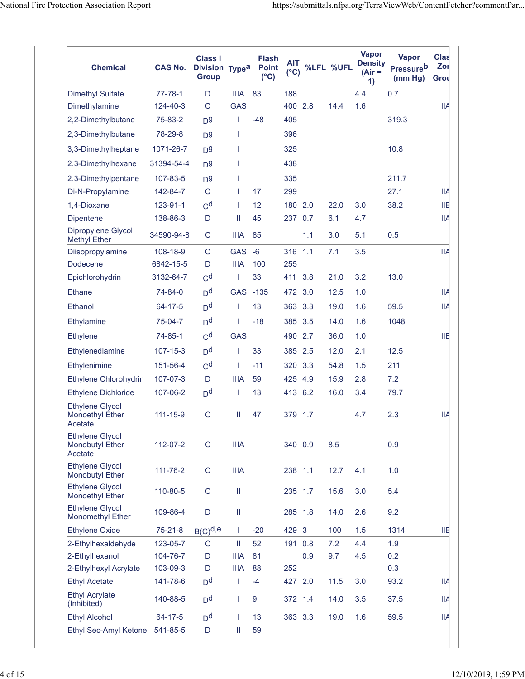| <b>Chemical</b>                                             | <b>CAS No.</b> | <b>Class I</b><br>Division Type <sup>a</sup><br><b>Group</b> |              | <b>Flash</b><br><b>Point</b><br>$(^{\circ}C)$ | AIT<br>$(^{\circ}C)$ |     | %LFL %UFL | <b>Vapor</b><br><b>Density</b><br>$(Air =$<br>$\left( \right)$ | <b>Vapor</b><br><b>Pressureb</b><br>(mm Hg) | <b>Clas</b><br>Zor<br>Grou |
|-------------------------------------------------------------|----------------|--------------------------------------------------------------|--------------|-----------------------------------------------|----------------------|-----|-----------|----------------------------------------------------------------|---------------------------------------------|----------------------------|
| <b>Dimethyl Sulfate</b>                                     | 77-78-1        | D                                                            | <b>IIIA</b>  | 83                                            | 188                  |     |           | 4.4                                                            | 0.7                                         |                            |
| Dimethylamine                                               | 124-40-3       | $\mathsf C$                                                  | <b>GAS</b>   |                                               | 400                  | 2.8 | 14.4      | 1.6                                                            |                                             | IIA                        |
| 2,2-Dimethylbutane                                          | 75-83-2        | D <sub>d</sub>                                               | T            | $-48$                                         | 405                  |     |           |                                                                | 319.3                                       |                            |
| 2,3-Dimethylbutane                                          | 78-29-8        | D <sub>0</sub>                                               | T            |                                               | 396                  |     |           |                                                                |                                             |                            |
| 3,3-Dimethylheptane                                         | 1071-26-7      | D <sub>0</sub>                                               | T            |                                               | 325                  |     |           |                                                                | 10.8                                        |                            |
| 2,3-Dimethylhexane                                          | 31394-54-4     | D <sub>0</sub>                                               | T            |                                               | 438                  |     |           |                                                                |                                             |                            |
| 2,3-Dimethylpentane                                         | 107-83-5       | D <sub>9</sub>                                               | T            |                                               | 335                  |     |           |                                                                | 211.7                                       |                            |
| Di-N-Propylamine                                            | 142-84-7       | C                                                            | $\mathbf{I}$ | 17                                            | 299                  |     |           |                                                                | 27.1                                        | <b>IIA</b>                 |
| 1,4-Dioxane                                                 | 123-91-1       | C <sup>d</sup>                                               | T            | 12                                            | 180 2.0              |     | 22.0      | 3.0                                                            | 38.2                                        | ШB                         |
| Dipentene                                                   | 138-86-3       | D                                                            | Ш            | 45                                            | 237                  | 0.7 | 6.1       | 4.7                                                            |                                             | <b>IIA</b>                 |
| Dipropylene Glycol<br><b>Methyl Ether</b>                   | 34590-94-8     | C                                                            | <b>IIIA</b>  | 85                                            |                      | 1.1 | 3.0       | 5.1                                                            | 0.5                                         |                            |
| Diisopropylamine                                            | 108-18-9       | C                                                            | <b>GAS</b>   | $-6$                                          | 316 1.1              |     | 7.1       | 3.5                                                            |                                             | <b>IIA</b>                 |
| Dodecene                                                    | 6842-15-5      | D                                                            | <b>IIIA</b>  | 100                                           | 255                  |     |           |                                                                |                                             |                            |
| Epichlorohydrin                                             | 3132-64-7      | C <sup>d</sup>                                               | 1            | 33                                            | 411                  | 3.8 | 21.0      | 3.2                                                            | 13.0                                        |                            |
| <b>Ethane</b>                                               | 74-84-0        | D <sup>d</sup>                                               | GAS -135     |                                               | 472 3.0              |     | 12.5      | 1.0                                                            |                                             | <b>IIA</b>                 |
| Ethanol                                                     | 64-17-5        | D <sup>d</sup>                                               | T            | 13                                            | 363 3.3              |     | 19.0      | 1.6                                                            | 59.5                                        | <b>IIA</b>                 |
| Ethylamine                                                  | 75-04-7        | D <sup>d</sup>                                               | T            | $-18$                                         | 385                  | 3.5 | 14.0      | 1.6                                                            | 1048                                        |                            |
| <b>Ethylene</b>                                             | 74-85-1        | C <sup>d</sup>                                               | <b>GAS</b>   |                                               | 490                  | 2.7 | 36.0      | 1.0                                                            |                                             | <b>IIB</b>                 |
| Ethylenediamine                                             | 107-15-3       | D <sup>d</sup>                                               | $\mathbf{I}$ | 33                                            | 385 2.5              |     | 12.0      | 2.1                                                            | 12.5                                        |                            |
| Ethylenimine                                                | 151-56-4       | C <sup>d</sup>                                               | $\mathbf{I}$ | $-11$                                         | 320                  | 3.3 | 54.8      | 1.5                                                            | 211                                         |                            |
| Ethylene Chlorohydrin                                       | 107-07-3       | D                                                            | <b>IIIA</b>  | 59                                            | 425                  | 4.9 | 15.9      | 2.8                                                            | 7.2                                         |                            |
| <b>Ethylene Dichloride</b>                                  | 107-06-2       | D <sup>d</sup>                                               | $\mathbf{I}$ | 13                                            | 413                  | 6.2 | 16.0      | 3.4                                                            | 79.7                                        |                            |
| <b>Ethylene Glycol</b><br><b>Monoethyl Ether</b><br>Acetate | 111-15-9       | C                                                            | Ш            | 47                                            | 379 1.7              |     |           | 4.7                                                            | 2.3                                         | <b>IIA</b>                 |
| <b>Ethylene Glycol</b><br><b>Monobutyl Ether</b><br>Acetate | 112-07-2       | $\mathsf C$                                                  | <b>IIIA</b>  |                                               | 340 0.9              |     | 8.5       |                                                                | 0.9                                         |                            |
| <b>Ethylene Glycol</b><br><b>Monobutyl Ether</b>            | 111-76-2       | $\mathsf C$                                                  | <b>IIIA</b>  |                                               | 238 1.1              |     | 12.7      | 4.1                                                            | 1.0                                         |                            |
| <b>Ethylene Glycol</b><br><b>Monoethyl Ether</b>            | 110-80-5       | C                                                            | $\rm{II}$    |                                               | 235 1.7              |     | 15.6      | 3.0                                                            | 5.4                                         |                            |
| <b>Ethylene Glycol</b><br>Monomethyl Ether                  | 109-86-4       | D                                                            | $\rm{II}$    |                                               | 285 1.8              |     | 14.0      | 2.6                                                            | 9.2                                         |                            |
| <b>Ethylene Oxide</b>                                       | $75 - 21 - 8$  | $B(C)^{d,e}$                                                 | T            | $-20$                                         | 429 3                |     | 100       | 1.5                                                            | 1314                                        | ШB                         |
| 2-Ethylhexaldehyde                                          | 123-05-7       | C                                                            | Ш            | 52                                            | 191 0.8              |     | 7.2       | 4.4                                                            | 1.9                                         |                            |
| 2-Ethylhexanol                                              | 104-76-7       | D                                                            | <b>IIIA</b>  | 81                                            |                      | 0.9 | 9.7       | 4.5                                                            | 0.2                                         |                            |
| 2-Ethylhexyl Acrylate                                       | 103-09-3       | D                                                            | <b>IIIA</b>  | 88                                            | 252                  |     |           |                                                                | 0.3                                         |                            |
| <b>Ethyl Acetate</b>                                        | 141-78-6       | D <sup>d</sup>                                               | $\mathbf{I}$ | $-4$                                          | 427 2.0              |     | 11.5      | 3.0                                                            | 93.2                                        | <b>IIA</b>                 |
| <b>Ethyl Acrylate</b><br>(Inhibited)                        | 140-88-5       | D <sup>d</sup>                                               | $\mathbf{I}$ | $\overline{9}$                                | 372 1.4              |     | 14.0      | 3.5                                                            | 37.5                                        | ШA                         |
| <b>Ethyl Alcohol</b>                                        | 64-17-5        | D <sup>d</sup>                                               | $\mathbf{I}$ | 13                                            | 363 3.3              |     | 19.0      | 1.6                                                            | 59.5                                        | IIA                        |
| Ethyl Sec-Amyl Ketone                                       | 541-85-5       | D                                                            | Ш            | 59                                            |                      |     |           |                                                                |                                             |                            |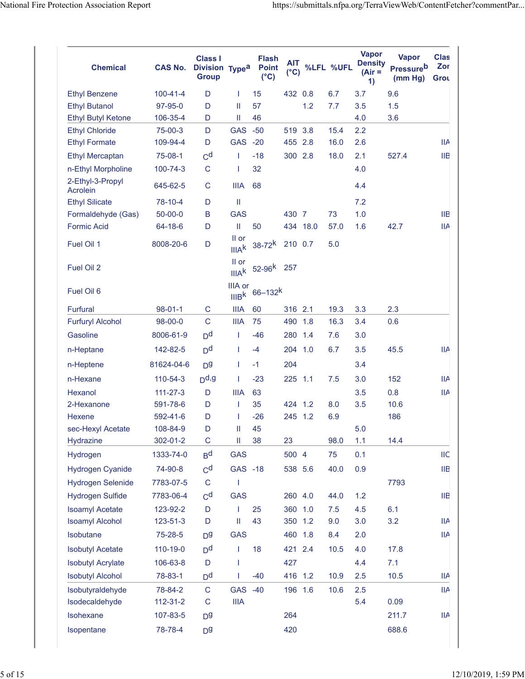| <b>Chemical</b>              | <b>CAS No.</b> | <b>Class I</b><br>Division Type <sup>a</sup><br><b>Group</b> |                                     | <b>Flash</b><br><b>Point</b><br>$(^{\circ}C)$ | <b>AIT</b><br>$(^{\circ}C)$ | %LFL     | %UFL | <b>Vapor</b><br><b>Density</b><br>$(Air =$<br>1) | <b>Vapor</b><br><b>Pressureb</b><br>(mm Hg) | <b>Clas</b><br>Zor<br>Grou |
|------------------------------|----------------|--------------------------------------------------------------|-------------------------------------|-----------------------------------------------|-----------------------------|----------|------|--------------------------------------------------|---------------------------------------------|----------------------------|
| <b>Ethyl Benzene</b>         | $100 - 41 - 4$ | D                                                            | T                                   | 15                                            | 432 0.8                     |          | 6.7  | 3.7                                              | 9.6                                         |                            |
| <b>Ethyl Butanol</b>         | 97-95-0        | D                                                            | Ш                                   | 57                                            |                             | 1.2      | 7.7  | 3.5                                              | 1.5                                         |                            |
| <b>Ethyl Butyl Ketone</b>    | 106-35-4       | D                                                            | Ш                                   | 46                                            |                             |          |      | 4.0                                              | 3.6                                         |                            |
| <b>Ethyl Chloride</b>        | 75-00-3        | D                                                            | <b>GAS</b>                          | $-50$                                         | 519 3.8                     |          | 15.4 | 2.2                                              |                                             |                            |
| <b>Ethyl Formate</b>         | 109-94-4       | D                                                            | GAS -20                             |                                               | 455 2.8                     |          | 16.0 | 2.6                                              |                                             | IIA                        |
| <b>Ethyl Mercaptan</b>       | 75-08-1        | C <sub>d</sub>                                               | I                                   | $-18$                                         | 300 2.8                     |          | 18.0 | 2.1                                              | 527.4                                       | <b>IIB</b>                 |
| n-Ethyl Morpholine           | 100-74-3       | C                                                            | T                                   | 32                                            |                             |          |      | 4.0                                              |                                             |                            |
| 2-Ethyl-3-Propyl<br>Acrolein | 645-62-5       | C                                                            | <b>IIIA</b>                         | 68                                            |                             |          |      | 4.4                                              |                                             |                            |
| <b>Ethyl Silicate</b>        | 78-10-4        | D                                                            | $\mathbf{  }$                       |                                               |                             |          |      | 7.2                                              |                                             |                            |
| Formaldehyde (Gas)           | $50 - 00 - 0$  | B                                                            | <b>GAS</b>                          |                                               | 430 7                       |          | 73   | 1.0                                              |                                             | <b>IIB</b>                 |
| <b>Formic Acid</b>           | 64-18-6        | D                                                            | Ш                                   | 50                                            |                             | 434 18.0 | 57.0 | 1.6                                              | 42.7                                        | IIA                        |
| Fuel Oil 1                   | 8008-20-6      | D                                                            | II or<br>IIIA <sup>k</sup>          | $38 - 72^k$                                   | 210 0.7                     |          | 5.0  |                                                  |                                             |                            |
| Fuel Oil 2                   |                |                                                              | II or                               | IIIAk $52-96^k$                               | 257                         |          |      |                                                  |                                             |                            |
| Fuel Oil 6                   |                |                                                              | <b>IIIA</b> or<br>IIIB <sup>k</sup> | $66 - 132$ <sup>k</sup>                       |                             |          |      |                                                  |                                             |                            |
| <b>Furfural</b>              | $98 - 01 - 1$  | C                                                            | <b>IIIA</b>                         | 60                                            | 316 2.1                     |          | 19.3 | 3.3                                              | 2.3                                         |                            |
| <b>Furfuryl Alcohol</b>      | 98-00-0        | $\mathsf{C}$                                                 | <b>IIIA</b>                         | 75                                            | 490                         | 1.8      | 16.3 | 3.4                                              | 0.6                                         |                            |
| Gasoline                     | 8006-61-9      | D <sup>d</sup>                                               | $\mathbf{I}$                        | $-46$                                         | 280                         | 1.4      | 7.6  | 3.0                                              |                                             |                            |
| n-Heptane                    | 142-82-5       | D <sup>d</sup>                                               | $\mathbf{I}$                        | $-4$                                          | 204                         | 1.0      | 6.7  | 3.5                                              | 45.5                                        | IIA                        |
| n-Heptene                    | 81624-04-6     | D <sub>0</sub>                                               | $\mathbf{I}$                        | $-1$                                          | 204                         |          |      | 3.4                                              |                                             |                            |
| n-Hexane                     | 110-54-3       | $D$ d,g                                                      | $\mathbf{I}$                        | $-23$                                         | 225 1.1                     |          | 7.5  | 3.0                                              | 152                                         | IIA                        |
| Hexanol                      | $111 - 27 - 3$ | D                                                            | <b>IIIA</b>                         | 63                                            |                             |          |      | 3.5                                              | 0.8                                         | IIA                        |
| 2-Hexanone                   | 591-78-6       | D                                                            | $\mathbf{I}$                        | 35                                            | 424 1.2                     |          | 8.0  | 3.5                                              | 10.6                                        |                            |
| Hexene                       | 592-41-6       | D                                                            | T                                   | $-26$                                         | 245 1.2                     |          | 6.9  |                                                  | 186                                         |                            |
| sec-Hexyl Acetate            | 108-84-9       | D                                                            | II                                  | 45                                            |                             |          |      | 5.0                                              |                                             |                            |
| <b>Hydrazine</b>             | 302-01-2       | $\mathsf C$                                                  | Ш                                   | 38                                            | 23                          |          | 98.0 | 1.1                                              | 14.4                                        |                            |
| Hydrogen                     | 1333-74-0      | B <sub>d</sub>                                               | <b>GAS</b>                          |                                               | 500 4                       |          | 75   | 0.1                                              |                                             | <b>IIC</b>                 |
| Hydrogen Cyanide             | 74-90-8        | C <sup>d</sup>                                               | GAS -18                             |                                               | 538 5.6                     |          | 40.0 | 0.9                                              |                                             | <b>IIB</b>                 |
| <b>Hydrogen Selenide</b>     | 7783-07-5      | C                                                            | 1                                   |                                               |                             |          |      |                                                  | 7793                                        |                            |
| <b>Hydrogen Sulfide</b>      | 7783-06-4      | C <sup>d</sup>                                               | <b>GAS</b>                          |                                               | 260 4.0                     |          | 44.0 | 1.2                                              |                                             | ШB                         |
| <b>Isoamyl Acetate</b>       | 123-92-2       | D                                                            | $\mathbf{I}$                        | 25                                            | 360 1.0                     |          | 7.5  | 4.5                                              | 6.1                                         |                            |
| <b>Isoamyl Alcohol</b>       | 123-51-3       | D                                                            | Ш                                   | 43                                            | 350 1.2                     |          | 9.0  | 3.0                                              | 3.2                                         | IIA                        |
| Isobutane                    | 75-28-5        | D <sub>0</sub>                                               | <b>GAS</b>                          |                                               | 460                         | 1.8      | 8.4  | 2.0                                              |                                             | <b>IIA</b>                 |
| <b>Isobutyl Acetate</b>      | 110-19-0       | D <sup>d</sup>                                               | $\mathbf{I}$                        | 18                                            | 421 2.4                     |          | 10.5 | 4.0                                              | 17.8                                        |                            |
| <b>Isobutyl Acrylate</b>     | 106-63-8       | D                                                            | $\mathsf{I}$                        |                                               | 427                         |          |      | 4.4                                              | 7.1                                         |                            |
| <b>Isobutyl Alcohol</b>      | 78-83-1        | D <sup>d</sup>                                               | T                                   | $-40$                                         | 416 1.2                     |          | 10.9 | 2.5                                              | 10.5                                        | IIA                        |
| Isobutyraldehyde             | 78-84-2        | $\mathsf C$                                                  | <b>GAS</b>                          | $-40$                                         | 196 1.6                     |          | 10.6 | 2.5                                              |                                             | IIA                        |
| Isodecaldehyde               | $112 - 31 - 2$ | $\mathsf C$                                                  | <b>IIIA</b>                         |                                               |                             |          |      | 5.4                                              | 0.09                                        |                            |
| Isohexane                    | 107-83-5       | D <sup>g</sup>                                               |                                     |                                               | 264                         |          |      |                                                  | 211.7                                       | IIA                        |
| Isopentane                   | 78-78-4        | D <sub>0</sub>                                               |                                     |                                               | 420                         |          |      |                                                  | 688.6                                       |                            |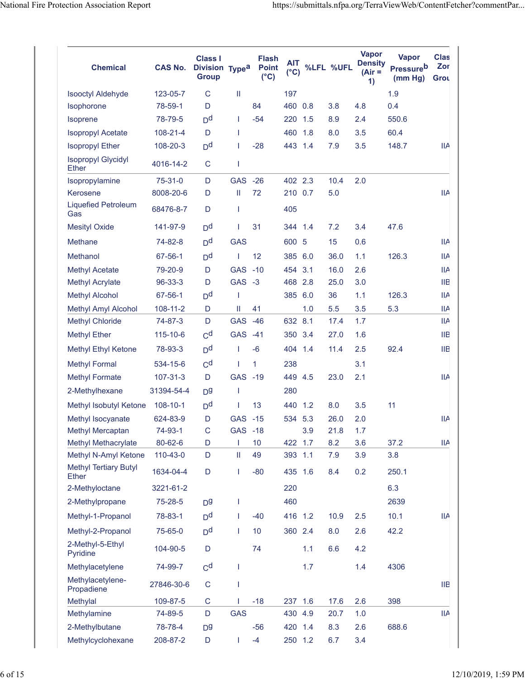| <b>Chemical</b>                              | <b>CAS No.</b> | <b>Class I</b><br>Division Type <sup>a</sup><br><b>Group</b> |            | Flash<br><b>Point</b><br>$(^{\circ}C)$ | <b>AIT</b><br>$(^{\circ}C)$ |     | %LFL %UFL | <b>Vapor</b><br><b>Density</b><br>$(Air =$<br>1) | <b>Vapor</b><br><b>Pressureb</b><br>(mm Hg) | <b>Clas</b><br>Zor<br>Grou |
|----------------------------------------------|----------------|--------------------------------------------------------------|------------|----------------------------------------|-----------------------------|-----|-----------|--------------------------------------------------|---------------------------------------------|----------------------------|
| <b>Isooctyl Aldehyde</b>                     | 123-05-7       | C                                                            | Ш          |                                        | 197                         |     |           |                                                  | 1.9                                         |                            |
| Isophorone                                   | 78-59-1        | D                                                            |            | 84                                     | 460 0.8                     |     | 3.8       | 4.8                                              | 0.4                                         |                            |
| <b>Isoprene</b>                              | 78-79-5        | D <sup>d</sup>                                               | T          | $-54$                                  | 220                         | 1.5 | 8.9       | 2.4                                              | 550.6                                       |                            |
| <b>Isopropyl Acetate</b>                     | 108-21-4       | D                                                            | T          |                                        | 460 1.8                     |     | 8.0       | 3.5                                              | 60.4                                        |                            |
| <b>Isopropyl Ether</b>                       | 108-20-3       | D <sup>d</sup>                                               | L          | $-28$                                  | 443 1.4                     |     | 7.9       | 3.5                                              | 148.7                                       | <b>IIA</b>                 |
| <b>Isopropyl Glycidyl</b><br><b>Ether</b>    | 4016-14-2      | C                                                            | T          |                                        |                             |     |           |                                                  |                                             |                            |
| Isopropylamine                               | 75-31-0        | D                                                            | GAS -26    |                                        | 402 2.3                     |     | 10.4      | 2.0                                              |                                             |                            |
| Kerosene                                     | 8008-20-6      | D                                                            | Ш          | 72                                     | 210 0.7                     |     | 5.0       |                                                  |                                             | <b>IIA</b>                 |
| <b>Liquefied Petroleum</b><br>Gas            | 68476-8-7      | D                                                            | I          |                                        | 405                         |     |           |                                                  |                                             |                            |
| <b>Mesityl Oxide</b>                         | 141-97-9       | D <sup>d</sup>                                               | T          | 31                                     | 344 1.4                     |     | 7.2       | 3.4                                              | 47.6                                        |                            |
| Methane                                      | 74-82-8        | D <sup>d</sup>                                               | <b>GAS</b> |                                        | 600 5                       |     | 15        | 0.6                                              |                                             | <b>IIA</b>                 |
| Methanol                                     | 67-56-1        | D <sup>d</sup>                                               | T          | 12                                     | 385 6.0                     |     | 36.0      | 1.1                                              | 126.3                                       | <b>IIA</b>                 |
| <b>Methyl Acetate</b>                        | 79-20-9        | D                                                            | <b>GAS</b> | $-10$                                  | 454                         | 3.1 | 16.0      | 2.6                                              |                                             | <b>IIA</b>                 |
| <b>Methyl Acrylate</b>                       | 96-33-3        | D                                                            | GAS -3     |                                        | 468 2.8                     |     | 25.0      | 3.0                                              |                                             | ШB                         |
| <b>Methyl Alcohol</b>                        | 67-56-1        | D <sup>d</sup>                                               | I          |                                        | 385 6.0                     |     | 36        | 1.1                                              | 126.3                                       | ШA                         |
| Methyl Amyl Alcohol                          | 108-11-2       | D                                                            | Ш          | 41                                     |                             | 1.0 | 5.5       | 3.5                                              | 5.3                                         | ШA                         |
| <b>Methyl Chloride</b>                       | 74-87-3        | D                                                            | <b>GAS</b> | $-46$                                  | 632 8.1                     |     | 17.4      | 1.7                                              |                                             | <b>IIA</b>                 |
| <b>Methyl Ether</b>                          | 115-10-6       | C <sub>d</sub>                                               | <b>GAS</b> | $-41$                                  | 350 3.4                     |     | 27.0      | 1.6                                              |                                             | ШB                         |
| Methyl Ethyl Ketone                          | 78-93-3        | D <sup>d</sup>                                               | L          | $-6$                                   | 404 1.4                     |     | 11.4      | 2.5                                              | 92.4                                        | <b>IIB</b>                 |
| <b>Methyl Formal</b>                         | 534-15-6       | C <sup>d</sup>                                               | I          | $\mathbf{1}$                           | 238                         |     |           | 3.1                                              |                                             |                            |
| <b>Methyl Formate</b>                        | 107-31-3       | D                                                            | GAS -19    |                                        | 449 4.5                     |     | 23.0      | 2.1                                              |                                             | ШA                         |
| 2-Methylhexane                               | 31394-54-4     | D <sub>0</sub>                                               | I          |                                        | 280                         |     |           |                                                  |                                             |                            |
| Methyl Isobutyl Ketone                       | 108-10-1       | D <sup>d</sup>                                               | I          | 13                                     | 440                         | 1.2 | 8.0       | 3.5                                              | 11                                          |                            |
| Methyl Isocyanate                            | 624-83-9       | D                                                            | GAS -15    |                                        | 534 5.3                     |     | 26.0      | 2.0                                              |                                             | IIА                        |
| Methyl Mercaptan                             | 74-93-1        | $\mathsf C$                                                  | <b>GAS</b> | $-18$                                  |                             | 3.9 | 21.8      | 1.7                                              |                                             |                            |
| Methyl Methacrylate                          | 80-62-6        | D                                                            | T          | 10                                     | 422 1.7                     |     | 8.2       | 3.6                                              | 37.2                                        | <b>IIA</b>                 |
| Methyl N-Amyl Ketone                         | 110-43-0       | D                                                            | Ш          | 49                                     | 393 1.1                     |     | 7.9       | 3.9                                              | 3.8                                         |                            |
| <b>Methyl Tertiary Butyl</b><br><b>Ether</b> | 1634-04-4      | D                                                            | T          | $-80$                                  | 435 1.6                     |     | 8.4       | 0.2                                              | 250.1                                       |                            |
| 2-Methyloctane                               | 3221-61-2      |                                                              |            |                                        | 220                         |     |           |                                                  | 6.3                                         |                            |
| 2-Methylpropane                              | 75-28-5        | D <sup>g</sup>                                               | I          |                                        | 460                         |     |           |                                                  | 2639                                        |                            |
| Methyl-1-Propanol                            | 78-83-1        | D <sup>d</sup>                                               | T          | $-40$                                  | 416 1.2                     |     | 10.9      | 2.5                                              | 10.1                                        | <b>IIA</b>                 |
| Methyl-2-Propanol                            | 75-65-0        | D <sup>d</sup>                                               | T          | 10                                     | 360 2.4                     |     | 8.0       | 2.6                                              | 42.2                                        |                            |
| 2-Methyl-5-Ethyl<br>Pyridine                 | 104-90-5       | D                                                            |            | 74                                     |                             | 1.1 | 6.6       | 4.2                                              |                                             |                            |
| Methylacetylene                              | 74-99-7        | C <sup>d</sup>                                               | T          |                                        |                             | 1.7 |           | 1.4                                              | 4306                                        |                            |
| Methylacetylene-<br>Propadiene               | 27846-30-6     | $\mathsf C$                                                  | T          |                                        |                             |     |           |                                                  |                                             | <b>IIB</b>                 |
| Methylal                                     | 109-87-5       | $\mathsf C$                                                  |            | $-18$                                  | 237                         | 1.6 | 17.6      | 2.6                                              | 398                                         |                            |
| Methylamine                                  | 74-89-5        | D                                                            | <b>GAS</b> |                                        | 430 4.9                     |     | 20.7      | 1.0                                              |                                             | IIA                        |
| 2-Methylbutane                               | 78-78-4        | D <sub>0</sub>                                               |            | $-56$                                  | 420 1.4                     |     | 8.3       | 2.6                                              | 688.6                                       |                            |
| Methylcyclohexane                            | 208-87-2       | D                                                            | T          | $-4$                                   | 250 1.2                     |     | 6.7       | 3.4                                              |                                             |                            |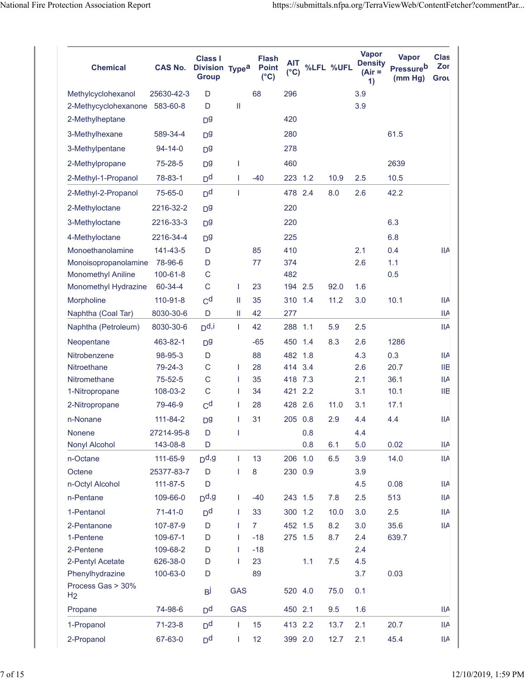| <b>Chemical</b>                     | <b>CAS No.</b> | <b>Class I</b><br>Division Type <sup>a</sup><br><b>Group</b> |               | <b>Flash</b><br><b>Point</b><br>$(^{\circ}C)$ | <b>AIT</b><br>$(^{\circ}C)$ |     | %LFL %UFL | <b>Vapor</b><br><b>Density</b><br>(Air =<br>1) | <b>Vapor</b><br><b>Pressure</b> b<br>(mm Hg) | <b>Clas</b><br>Zor<br>Grou |
|-------------------------------------|----------------|--------------------------------------------------------------|---------------|-----------------------------------------------|-----------------------------|-----|-----------|------------------------------------------------|----------------------------------------------|----------------------------|
| Methylcyclohexanol                  | 25630-42-3     | D                                                            |               | 68                                            | 296                         |     |           | 3.9                                            |                                              |                            |
| 2-Methycyclohexanone                | 583-60-8       | D                                                            | $\mathbf{II}$ |                                               |                             |     |           | 3.9                                            |                                              |                            |
| 2-Methylheptane                     |                | D <sub>0</sub>                                               |               |                                               | 420                         |     |           |                                                |                                              |                            |
| 3-Methylhexane                      | 589-34-4       | D <sub>0</sub>                                               |               |                                               | 280                         |     |           |                                                | 61.5                                         |                            |
| 3-Methylpentane                     | $94 - 14 - 0$  | D <sub>0</sub>                                               |               |                                               | 278                         |     |           |                                                |                                              |                            |
| 2-Methylpropane                     | 75-28-5        | D <sub>0</sub>                                               | T             |                                               | 460                         |     |           |                                                | 2639                                         |                            |
| 2-Methyl-1-Propanol                 | 78-83-1        | D <sup>d</sup>                                               | T             | $-40$                                         | 223                         | 1.2 | 10.9      | 2.5                                            | 10.5                                         |                            |
| 2-Methyl-2-Propanol                 | 75-65-0        | D <sup>d</sup>                                               | T             |                                               | 478 2.4                     |     | 8.0       | 2.6                                            | 42.2                                         |                            |
| 2-Methyloctane                      | 2216-32-2      | D <sub>0</sub>                                               |               |                                               | 220                         |     |           |                                                |                                              |                            |
| 3-Methyloctane                      | 2216-33-3      | D <sub>0</sub>                                               |               |                                               | 220                         |     |           |                                                | 6.3                                          |                            |
| 4-Methyloctane                      | 2216-34-4      | D <sub>0</sub>                                               |               |                                               | 225                         |     |           |                                                | 6.8                                          |                            |
| Monoethanolamine                    | 141-43-5       | D                                                            |               | 85                                            | 410                         |     |           | 2.1                                            | 0.4                                          | <b>IIA</b>                 |
| Monoisopropanolamine                | 78-96-6        | D                                                            |               | 77                                            | 374                         |     |           | 2.6                                            | 1.1                                          |                            |
| <b>Monomethyl Aniline</b>           | 100-61-8       | C                                                            |               |                                               | 482                         |     |           |                                                | 0.5                                          |                            |
| Monomethyl Hydrazine                | 60-34-4        | $\mathsf{C}$                                                 | T             | 23                                            | 194 2.5                     |     | 92.0      | 1.6                                            |                                              |                            |
| Morpholine                          | 110-91-8       | C <sup>d</sup>                                               | Ш             | 35                                            | 310                         | 1.4 | 11.2      | 3.0                                            | 10.1                                         | <b>IIA</b>                 |
| Naphtha (Coal Tar)                  | 8030-30-6      | D                                                            | Ш             | 42                                            | 277                         |     |           |                                                |                                              | IIA                        |
| Naphtha (Petroleum)                 | 8030-30-6      | $D$ d,i                                                      | $\mathbf{I}$  | 42                                            | 288                         | 1.1 | 5.9       | 2.5                                            |                                              | <b>IIA</b>                 |
| Neopentane                          | 463-82-1       | D <sub>0</sub>                                               |               | $-65$                                         | 450                         | 1.4 | 8.3       | 2.6                                            | 1286                                         |                            |
| Nitrobenzene                        | 98-95-3        | D                                                            |               | 88                                            | 482 1.8                     |     |           | 4.3                                            | 0.3                                          | ШA                         |
| Nitroethane                         | 79-24-3        | C                                                            | T             | 28                                            | 414                         | 3.4 |           | 2.6                                            | 20.7                                         | <b>IIB</b>                 |
| Nitromethane                        | 75-52-5        | $\mathsf{C}$                                                 | T             | 35                                            | 418 7.3                     |     |           | 2.1                                            | 36.1                                         | <b>IIA</b>                 |
| 1-Nitropropane                      | 108-03-2       | C                                                            | T             | 34                                            | 421                         | 2.2 |           | 3.1                                            | 10.1                                         | ШB                         |
| 2-Nitropropane                      | 79-46-9        | C <sup>d</sup>                                               | I.            | 28                                            | 428 2.6                     |     | 11.0      | 3.1                                            | 17.1                                         |                            |
| n-Nonane                            | 111-84-2       | D <sup>9</sup>                                               | I             | 31                                            | 205 0.8                     |     | 2.9       | 4.4                                            | 4.4                                          | <b>IIA</b>                 |
| Nonene                              | 27214-95-8     | D                                                            | I             |                                               |                             | 0.8 |           | 4.4                                            |                                              |                            |
| Nonyl Alcohol                       | 143-08-8       | D                                                            |               |                                               |                             | 0.8 | 6.1       | 5.0                                            | 0.02                                         | <b>IIA</b>                 |
| n-Octane                            | 111-65-9       | $Dd$ ,g                                                      | T             | 13                                            | 206                         | 1.0 | 6.5       | 3.9                                            | 14.0                                         | <b>IIA</b>                 |
| Octene                              | 25377-83-7     | D                                                            | I             | 8                                             | 230 0.9                     |     |           | 3.9                                            |                                              |                            |
| n-Octyl Alcohol                     | $111 - 87 - 5$ | D                                                            |               |                                               |                             |     |           | 4.5                                            | 0.08                                         | <b>IIA</b>                 |
| n-Pentane                           | 109-66-0       | $D$ d,g                                                      | L             | $-40$                                         | 243 1.5                     |     | 7.8       | 2.5                                            | 513                                          | <b>IIA</b>                 |
| 1-Pentanol                          | $71 - 41 - 0$  | D <sup>d</sup>                                               | T             | 33                                            | 300 1.2                     |     | 10.0      | 3.0                                            | 2.5                                          | <b>IIA</b>                 |
| 2-Pentanone                         | 107-87-9       | D                                                            | T             | $\overline{7}$                                | 452 1.5                     |     | 8.2       | 3.0                                            | 35.6                                         | <b>IIA</b>                 |
| 1-Pentene                           | 109-67-1       | D                                                            | T             | $-18$                                         | 275 1.5                     |     | 8.7       | 2.4                                            | 639.7                                        |                            |
| 2-Pentene                           | 109-68-2       | D                                                            | T             | $-18$                                         |                             |     |           | 2.4                                            |                                              |                            |
| 2-Pentyl Acetate                    | 626-38-0       | D                                                            | T             | 23                                            |                             | 1.1 | 7.5       | 4.5                                            |                                              |                            |
| Phenylhydrazine                     | 100-63-0       | D                                                            |               | 89                                            |                             |     |           | 3.7                                            | 0.03                                         |                            |
| Process Gas > 30%<br>H <sub>2</sub> |                | Вj                                                           | <b>GAS</b>    |                                               | 520 4.0                     |     | 75.0      | 0.1                                            |                                              |                            |
| Propane                             | 74-98-6        | D <sup>d</sup>                                               | <b>GAS</b>    |                                               | 450 2.1                     |     | 9.5       | 1.6                                            |                                              | IIA                        |
| 1-Propanol                          | $71 - 23 - 8$  | D <sup>d</sup>                                               | T             | 15                                            | 413 2.2                     |     | 13.7      | 2.1                                            | 20.7                                         | IIA                        |
| 2-Propanol                          | 67-63-0        | D <sup>d</sup>                                               | $\mathbf{I}$  | 12                                            | 399 2.0                     |     | 12.7      | 2.1                                            | 45.4                                         | <b>IIA</b>                 |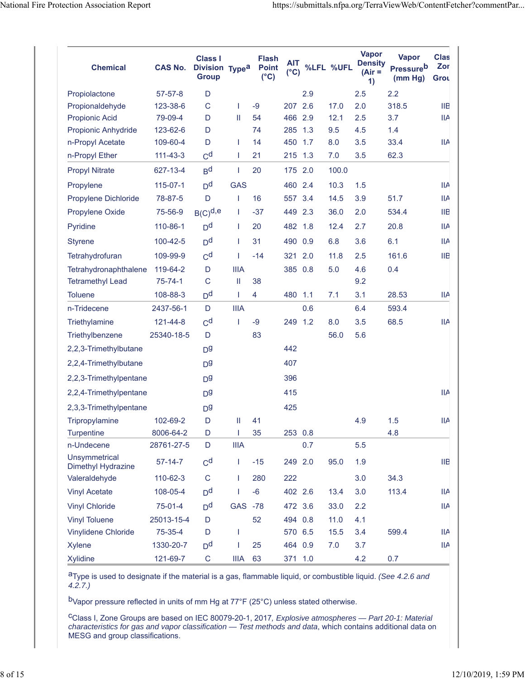| <b>Chemical</b>                     | <b>CAS No.</b> | <b>Class I</b><br>Division Type <sup>a</sup><br><b>Group</b> |             | <b>Flash</b><br><b>Point</b><br>$(^{\circ}C)$ | <b>AIT</b><br>$(^{\circ}C)$ |     | %LFL %UFL | <b>Vapor</b><br><b>Density</b><br>$(Air =$<br>1) | <b>Vapor</b><br><b>Pressureb</b><br>(mm Hg) | <b>Clas</b><br>Zor<br>Grou |
|-------------------------------------|----------------|--------------------------------------------------------------|-------------|-----------------------------------------------|-----------------------------|-----|-----------|--------------------------------------------------|---------------------------------------------|----------------------------|
| Propiolactone                       | $57 - 57 - 8$  | D                                                            |             |                                               |                             | 2.9 |           | 2.5                                              | 2.2                                         |                            |
| Propionaldehyde                     | 123-38-6       | $\mathsf C$                                                  | L           | $-9$                                          | 207                         | 2.6 | 17.0      | 2.0                                              | 318.5                                       | <b>IIB</b>                 |
| <b>Propionic Acid</b>               | 79-09-4        | D                                                            | Ш           | 54                                            | 466 2.9                     |     | 12.1      | 2.5                                              | 3.7                                         | <b>IIA</b>                 |
| Propionic Anhydride                 | 123-62-6       | D                                                            |             | 74                                            | 285                         | 1.3 | 9.5       | 4.5                                              | 1.4                                         |                            |
| n-Propyl Acetate                    | 109-60-4       | D                                                            | T           | 14                                            | 450                         | 1.7 | 8.0       | 3.5                                              | 33.4                                        | IIA                        |
| n-Propyl Ether                      | $111 - 43 - 3$ | C <sup>d</sup>                                               | T           | 21                                            | 215 1.3                     |     | 7.0       | 3.5                                              | 62.3                                        |                            |
| <b>Propyl Nitrate</b>               | 627-13-4       | B <sub>d</sub>                                               | T           | 20                                            | 175                         | 2.0 | 100.0     |                                                  |                                             |                            |
| Propylene                           | $115 - 07 - 1$ | D <sup>d</sup>                                               | <b>GAS</b>  |                                               | 460 2.4                     |     | 10.3      | 1.5                                              |                                             | ШA                         |
| Propylene Dichloride                | 78-87-5        | D                                                            | L           | 16                                            | 557                         | 3.4 | 14.5      | 3.9                                              | 51.7                                        | <b>IIA</b>                 |
| Propylene Oxide                     | 75-56-9        | $B(C)^{d,e}$                                                 | T           | $-37$                                         | 449 2.3                     |     | 36.0      | 2.0                                              | 534.4                                       | ШB                         |
| Pyridine                            | 110-86-1       | D <sup>d</sup>                                               | T           | 20                                            | 482 1.8                     |     | 12.4      | 2.7                                              | 20.8                                        | <b>IIA</b>                 |
| <b>Styrene</b>                      | 100-42-5       | D <sup>d</sup>                                               | T           | 31                                            | 490                         | 0.9 | 6.8       | 3.6                                              | 6.1                                         | <b>IIA</b>                 |
| Tetrahydrofuran                     | 109-99-9       | C <sup>d</sup>                                               | T           | $-14$                                         | 321                         | 2.0 | 11.8      | 2.5                                              | 161.6                                       | <b>IIB</b>                 |
| Tetrahydronaphthalene               | 119-64-2       | D                                                            | <b>IIIA</b> |                                               | 385 0.8                     |     | 5.0       | 4.6                                              | 0.4                                         |                            |
| <b>Tetramethyl Lead</b>             | $75 - 74 - 1$  | $\mathsf{C}$                                                 | Ш           | 38                                            |                             |     |           | 9.2                                              |                                             |                            |
| <b>Toluene</b>                      | 108-88-3       | D <sup>d</sup>                                               | T           | $\overline{4}$                                | 480 1.1                     |     | 7.1       | 3.1                                              | 28.53                                       | IIA                        |
| n-Tridecene                         | 2437-56-1      | D                                                            | <b>IIIA</b> |                                               |                             | 0.6 |           | 6.4                                              | 593.4                                       |                            |
| Triethylamine                       | 121-44-8       | C <sup>d</sup>                                               | T           | $-9$                                          | 249                         | 1.2 | 8.0       | 3.5                                              | 68.5                                        | <b>IIA</b>                 |
| Triethylbenzene                     | 25340-18-5     | D                                                            |             | 83                                            |                             |     | 56.0      | 5.6                                              |                                             |                            |
| 2,2,3-Trimethylbutane               |                | D <sub>0</sub>                                               |             |                                               | 442                         |     |           |                                                  |                                             |                            |
| 2,2,4-Trimethylbutane               |                | D <sup>g</sup>                                               |             |                                               | 407                         |     |           |                                                  |                                             |                            |
| 2,2,3-Trimethylpentane              |                | D <sup>g</sup>                                               |             |                                               | 396                         |     |           |                                                  |                                             |                            |
| 2,2,4-Trimethylpentane              |                | D <sub>0</sub>                                               |             |                                               | 415                         |     |           |                                                  |                                             | <b>IIA</b>                 |
| 2,3,3-Trimethylpentane              |                | D <sub>0</sub>                                               |             |                                               | 425                         |     |           |                                                  |                                             |                            |
| Tripropylamine                      | 102-69-2       | D                                                            | Ш           | 41                                            |                             |     |           | 4.9                                              | 1.5                                         | IIA                        |
| <b>Turpentine</b>                   | 8006-64-2      | D                                                            |             | 35                                            | 253 0.8                     |     |           |                                                  | 4.8                                         |                            |
| n-Undecene                          | 28761-27-5     | D                                                            | <b>IIIA</b> |                                               |                             | 0.7 |           | 5.5                                              |                                             |                            |
| Unsymmetrical<br>Dimethyl Hydrazine | $57 - 14 - 7$  | C <sup>d</sup>                                               | T           | $-15$                                         | 249 2.0                     |     | 95.0      | 1.9                                              |                                             | IIB                        |
| Valeraldehyde                       | 110-62-3       | $\mathsf C$                                                  | L           | 280                                           | 222                         |     |           | 3.0                                              | 34.3                                        |                            |
| <b>Vinyl Acetate</b>                | 108-05-4       | D <sup>d</sup>                                               | L           | $-6$                                          | 402 2.6                     |     | 13.4      | 3.0                                              | 113.4                                       | IIA                        |
| <b>Vinyl Chloride</b>               | 75-01-4        | D <sup>d</sup>                                               | GAS -78     |                                               | 472 3.6                     |     | 33.0      | 2.2                                              |                                             | IIA                        |
| <b>Vinyl Toluene</b>                | 25013-15-4     | D                                                            |             | 52                                            | 494 0.8                     |     | 11.0      | 4.1                                              |                                             |                            |
| Vinylidene Chloride                 | 75-35-4        | D                                                            | T           |                                               | 570 6.5                     |     | 15.5      | 3.4                                              | 599.4                                       | <b>IIA</b>                 |
| <b>Xylene</b>                       | 1330-20-7      | D <sup>d</sup>                                               | I           | 25                                            | 464 0.9                     |     | 7.0       | 3.7                                              |                                             | IIA                        |
| Xylidine                            | 121-69-7       | $\mathsf{C}$                                                 | <b>IIIA</b> | 63                                            | 371 1.0                     |     |           | 4.2                                              | 0.7                                         |                            |

aType is used to designate if the material is a gas, flammable liquid, or combustible liquid. *(See 4.2.6 and 4.2.7.)*

bVapor pressure reflected in units of mm Hg at 77°F (25°C) unless stated otherwise.

cClass I, Zone Groups are based on IEC 80079-20-1, 2017*, Explosive atmospheres — Part 20-1: Material characteristics for gas and vapor classification — Test methods and data*, which contains additional data on MESG and group classifications.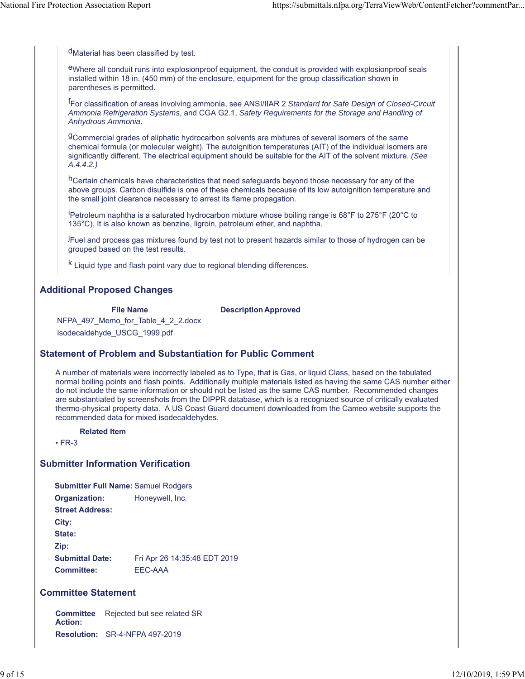<sup>d</sup>Material has been classified by test.

eWhere all conduit runs into explosionproof equipment, the conduit is provided with explosionproof seals installed within 18 in. (450 mm) of the enclosure, equipment for the group classification shown in parentheses is permitted.

f For classification of areas involving ammonia, see ANSI/IIAR 2 *Standard for Safe Design of Closed-Circuit Ammonia Refrigeration Systems*, and CGA G2.1, *Safety Requirements for the Storage and Handling of Anhydrous Ammonia*.

gCommercial grades of aliphatic hydrocarbon solvents are mixtures of several isomers of the same chemical formula (or molecular weight). The autoignition temperatures (AIT) of the individual isomers are significantly different. The electrical equipment should be suitable for the AIT of the solvent mixture. *(See A.4.4.2.)*

hCertain chemicals have characteristics that need safeguards beyond those necessary for any of the above groups. Carbon disulfide is one of these chemicals because of its low autoignition temperature and the small joint clearance necessary to arrest its flame propagation.

<sup>i</sup>Petroleum naphtha is a saturated hydrocarbon mixture whose boiling range is 68°F to 275°F (20°C to 135°C). It is also known as benzine, ligroin, petroleum ether, and naphtha.

.<br>IFuel and process gas mixtures found by test not to present hazards similar to those of hydrogen can be grouped based on the test results.

k Liquid type and flash point vary due to regional blending differences.

# **Additional Proposed Changes**

**File Name Description Approved**

NFPA\_497\_Memo\_for\_Table\_4\_2\_2.docx Isodecaldehyde\_USCG\_1999.pdf

## **Statement of Problem and Substantiation for Public Comment**

A number of materials were incorrectly labeled as to Type, that is Gas, or liquid Class, based on the tabulated normal boiling points and flash points. Additionally multiple materials listed as having the same CAS number either do not include the same information or should not be listed as the same CAS number. Recommended changes are substantiated by screenshots from the DIPPR database, which is a recognized source of critically evaluated thermo-physical property data. A US Coast Guard document downloaded from the Cameo website supports the recommended data for mixed isodecaldehydes.

#### **Related Item**

• FR-3

## **Submitter Information Verification**

**Submitter Full Name:** Samuel Rodgers **Organization:** Honeywell, Inc. **Street Address: City: State: Zip: Submittal Date:** Fri Apr 26 14:35:48 EDT 2019 **Committee:** EEC-AAA

## **Committee Statement**

**Committee** Rejected but see related SR **Action: Resolution:** SR-4-NFPA 497-2019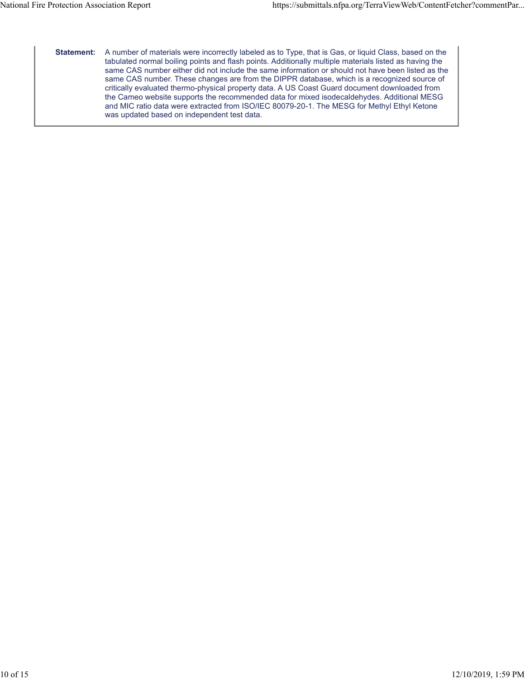**Statement:** A number of materials were incorrectly labeled as to Type, that is Gas, or liquid Class, based on the tabulated normal boiling points and flash points. Additionally multiple materials listed as having the same CAS number either did not include the same information or should not have been listed as the same CAS number. These changes are from the DIPPR database, which is a recognized source of critically evaluated thermo-physical property data. A US Coast Guard document downloaded from the Cameo website supports the recommended data for mixed isodecaldehydes. Additional MESG and MIC ratio data were extracted from ISO/IEC 80079-20-1. The MESG for Methyl Ethyl Ketone was updated based on independent test data.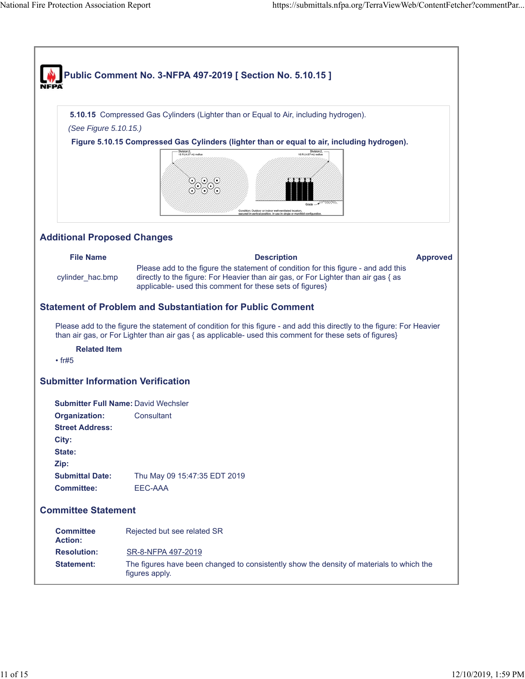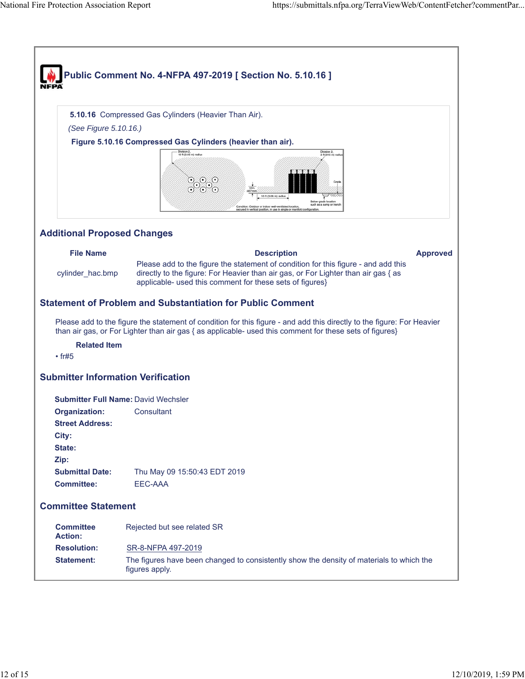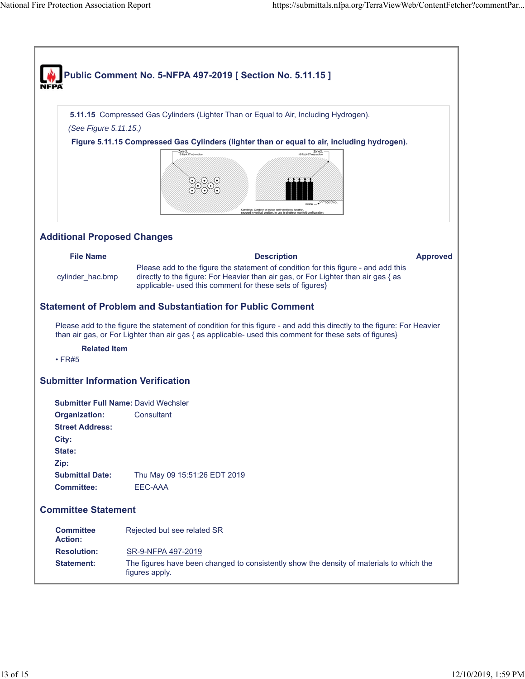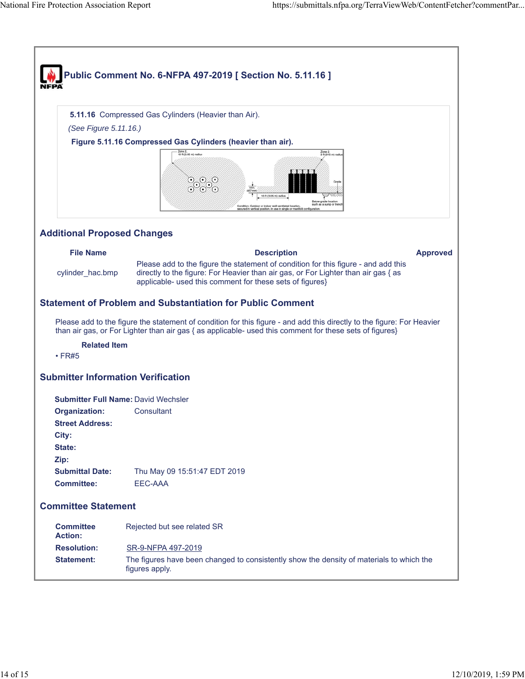